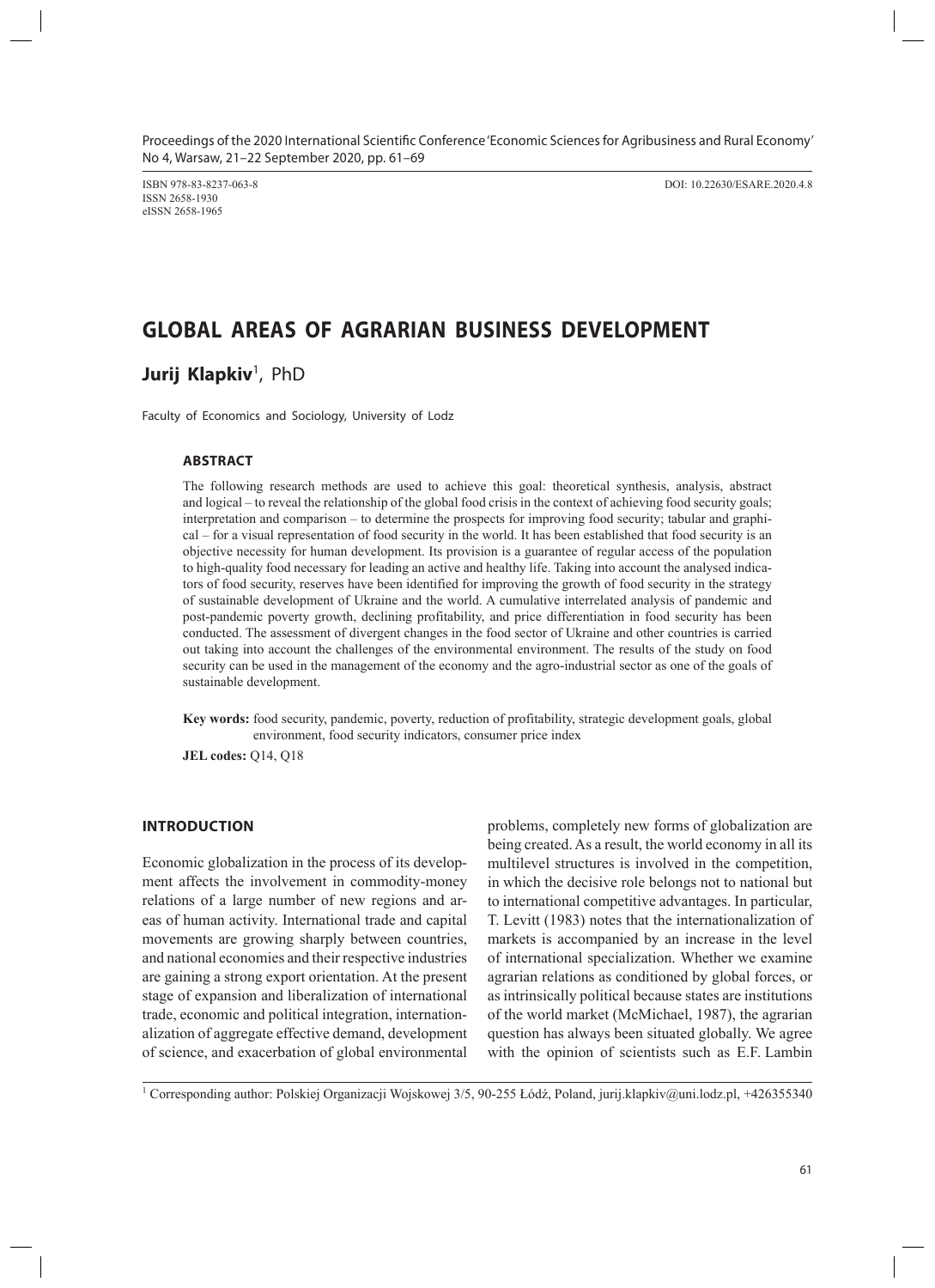Proceedings of the 2020 International Scientific Conference 'Economic Sciences for Agribusiness and Rural Economy' No 4, Warsaw, 21–22 September 2020, pp. 61–69

ISSN 2658-1930 eISSN 2658-1965

ISBN 978-83-8237-063-8 DOI: 10.22630/ESARE.2020.4.8

# **GLOBAL AREAS OF AGRARIAN BUSINESS DEVELOPMENT**

**Jurij Klapkiv**<sup>1</sup>, PhD

Faculty of Economics and Sociology, University of Lodz

#### **ABSTRACT**

The following research methods are used to achieve this goal: theoretical synthesis, analysis, abstract and logical – to reveal the relationship of the global food crisis in the context of achieving food security goals; interpretation and comparison – to determine the prospects for improving food security; tabular and graphical – for a visual representation of food security in the world. It has been established that food security is an objective necessity for human development. Its provision is a guarantee of regular access of the population to high-quality food necessary for leading an active and healthy life. Taking into account the analysed indicators of food security, reserves have been identified for improving the growth of food security in the strategy of sustainable development of Ukraine and the world. A cumulative interrelated analysis of pandemic and post-pandemic poverty growth, declining profitability, and price differentiation in food security has been conducted. The assessment of divergent changes in the food sector of Ukraine and other countries is carried out taking into account the challenges of the environmental environment. The results of the study on food security can be used in the management of the economy and the agro-industrial sector as one of the goals of sustainable development.

**Key words:** food security, pandemic, poverty, reduction of profitability, strategic development goals, global environment, food security indicators, consumer price index

**JEL codes:** Q14, Q18

## **INTRODUCTION**

Economic globalization in the process of its development affects the involvement in commodity-money relations of a large number of new regions and areas of human activity. International trade and capital movements are growing sharply between countries, and national economies and their respective industries are gaining a strong export orientation. At the present stage of expansion and liberalization of international trade, economic and political integration, internationalization of aggregate effective demand, development of science, and exacerbation of global environmental

problems, completely new forms of globalization are being created.As a result, the world economy in all its multilevel structures is involved in the competition, in which the decisive role belongs not to national but to international competitive advantages. In particular, T. Levitt (1983) notes that the internationalization of markets is accompanied by an increase in the level of international specialization. Whether we examine agrarian relations as conditioned by global forces, or as intrinsically political because states are institutions of the world market (McMichael, 1987), the agrarian question has always been situated globally. We agree with the opinion of scientists such as E.F. Lambin

1 Corresponding author: Polskiej Organizacji Wojskowej 3/5, 90-255 Łódź, Poland, jurij.klapkiv@uni.lodz.pl, +426355340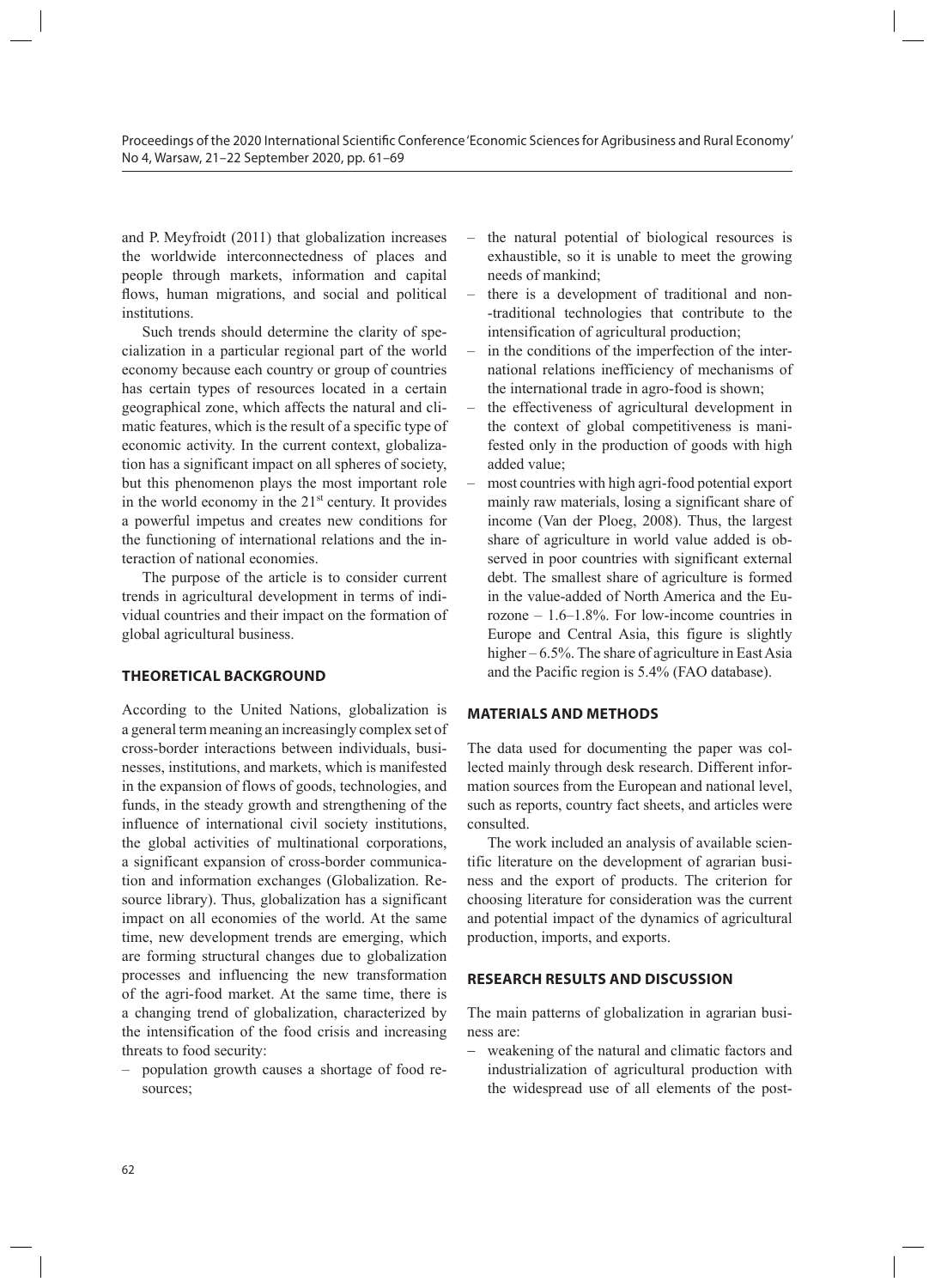and P. Meyfroidt (2011) that globalization increases the worldwide interconnectedness of places and people through markets, information and capital flows, human migrations, and social and political institutions.

Such trends should determine the clarity of specialization in a particular regional part of the world economy because each country or group of countries has certain types of resources located in a certain geographical zone, which affects the natural and climatic features, which is the result of a specific type of economic activity. In the current context, globalization has a significant impact on all spheres of society, but this phenomenon plays the most important role in the world economy in the  $21<sup>st</sup>$  century. It provides a powerful impetus and creates new conditions for the functioning of international relations and the interaction of national economies.

The purpose of the article is to consider current trends in agricultural development in terms of individual countries and their impact on the formation of global agricultural business.

### **THEORETICAL BACKGROUND**

According to the United Nations, globalization is a general term meaning an increasingly complex set of cross-border interactions between individuals, businesses, institutions, and markets, which is manifested in the expansion of flows of goods, technologies, and funds, in the steady growth and strengthening of the influence of international civil society institutions, the global activities of multinational corporations, a significant expansion of cross-border communication and information exchanges (Globalization. Resource library). Thus, globalization has a significant impact on all economies of the world. At the same time, new development trends are emerging, which are forming structural changes due to globalization processes and influencing the new transformation of the agri-food market. At the same time, there is a changing trend of globalization, characterized by the intensification of the food crisis and increasing threats to food security:

– population growth causes a shortage of food resources;

- the natural potential of biological resources is exhaustible, so it is unable to meet the growing needs of mankind;
- there is a development of traditional and non- -traditional technologies that contribute to the intensification of agricultural production;
- in the conditions of the imperfection of the international relations inefficiency of mechanisms of the international trade in agro-food is shown;
- the effectiveness of agricultural development in the context of global competitiveness is manifested only in the production of goods with high added value;
- most countries with high agri-food potential export mainly raw materials, losing a significant share of income (Van der Ploeg, 2008). Thus, the largest share of agriculture in world value added is observed in poor countries with significant external debt. The smallest share of agriculture is formed in the value-added of North America and the Eurozone – 1.6–1.8%. For low-income countries in Europe and Central Asia, this figure is slightly higher – 6.5%. The share of agriculture in East Asia and the Pacific region is 5.4% (FAO database).

#### **MATERIALS AND METHODS**

The data used for documenting the paper was collected mainly through desk research. Different information sources from the European and national level, such as reports, country fact sheets, and articles were consulted.

The work included an analysis of available scientific literature on the development of agrarian business and the export of products. The criterion for choosing literature for consideration was the current and potential impact of the dynamics of agricultural production, imports, and exports.

#### **RESEARCH RESULTS AND DISCUSSION**

The main patterns of globalization in agrarian business are:

weakening of the natural and climatic factors and industrialization of agricultural production with the widespread use of all elements of the post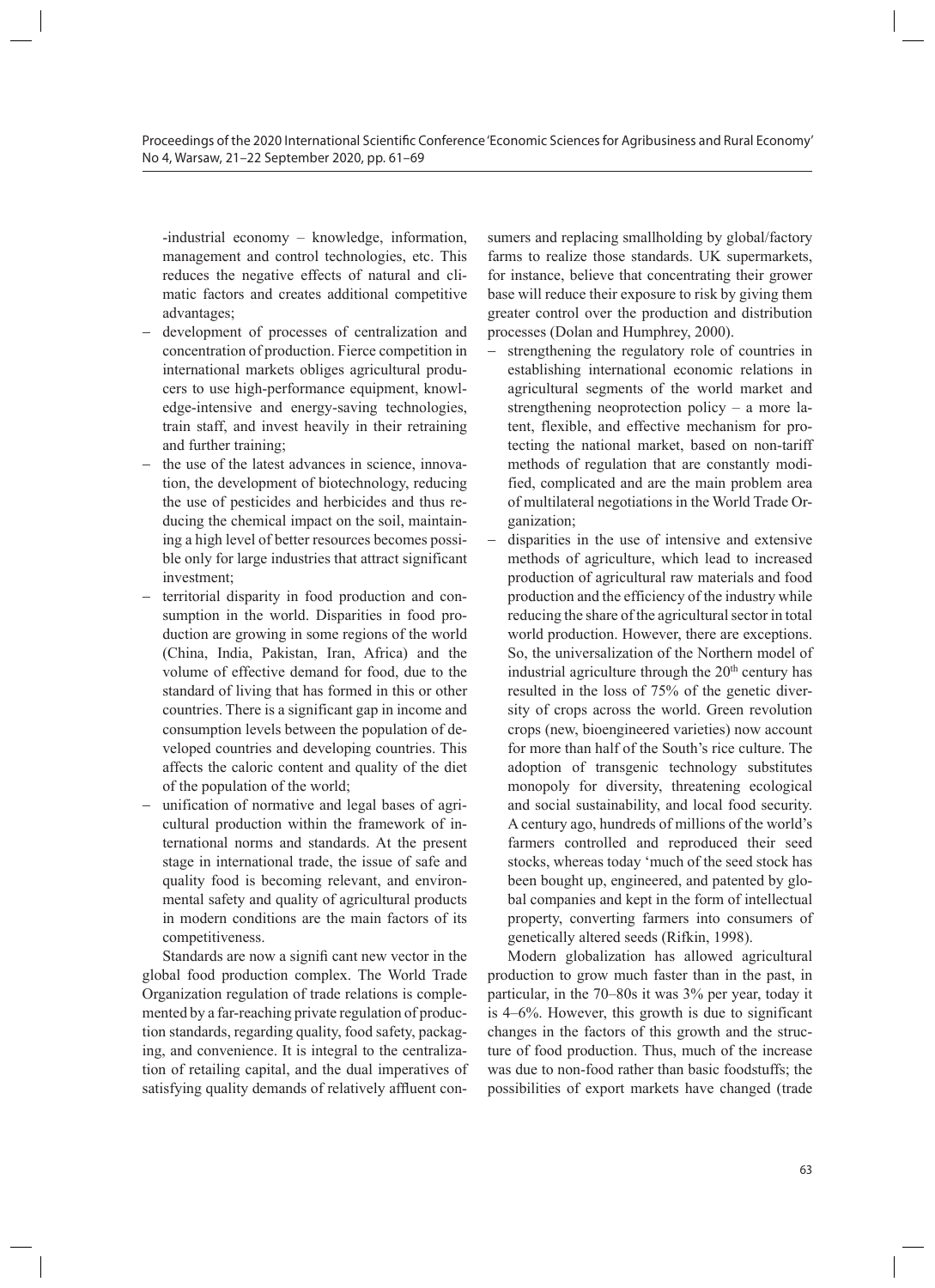-industrial economy – knowledge, information, management and control technologies, etc. This reduces the negative effects of natural and climatic factors and creates additional competitive advantages;

- development of processes of centralization and concentration of production. Fierce competition in international markets obliges agricultural producers to use high-performance equipment, knowledge-intensive and energy-saving technologies, train staff, and invest heavily in their retraining and further training;
- the use of the latest advances in science, innovation, the development of biotechnology, reducing the use of pesticides and herbicides and thus reducing the chemical impact on the soil, maintaining a high level of better resources becomes possible only for large industries that attract significant investment;
- territorial disparity in food production and consumption in the world. Disparities in food production are growing in some regions of the world (China, India, Pakistan, Iran, Africa) and the volume of effective demand for food, due to the standard of living that has formed in this or other countries. There is a significant gap in income and consumption levels between the population of developed countries and developing countries. This affects the caloric content and quality of the diet of the population of the world;
- unification of normative and legal bases of agricultural production within the framework of international norms and standards. At the present stage in international trade, the issue of safe and quality food is becoming relevant, and environmental safety and quality of agricultural products in modern conditions are the main factors of its competitiveness.

Standards are now a signifi cant new vector in the global food production complex. The World Trade Organization regulation of trade relations is complemented by a far-reaching private regulation of production standards, regarding quality, food safety, packaging, and convenience. It is integral to the centralization of retailing capital, and the dual imperatives of satisfying quality demands of relatively affluent con-

sumers and replacing smallholding by global/factory farms to realize those standards. UK supermarkets, for instance, believe that concentrating their grower base will reduce their exposure to risk by giving them greater control over the production and distribution processes (Dolan and Humphrey, 2000).

- − strengthening the regulatory role of countries in establishing international economic relations in agricultural segments of the world market and strengthening neoprotection policy – a more latent, flexible, and effective mechanism for protecting the national market, based on non-tariff methods of regulation that are constantly modified, complicated and are the main problem area of multilateral negotiations in the World Trade Organization;
- disparities in the use of intensive and extensive methods of agriculture, which lead to increased production of agricultural raw materials and food production and the efficiency of the industry while reducing the share of the agricultural sector in total world production. However, there are exceptions. So, the universalization of the Northern model of industrial agriculture through the  $20<sup>th</sup>$  century has resulted in the loss of 75% of the genetic diversity of crops across the world. Green revolution crops (new, bioengineered varieties) now account for more than half of the South's rice culture. The adoption of transgenic technology substitutes monopoly for diversity, threatening ecological and social sustainability, and local food security. A century ago, hundreds of millions of the world's farmers controlled and reproduced their seed stocks, whereas today 'much of the seed stock has been bought up, engineered, and patented by global companies and kept in the form of intellectual property, converting farmers into consumers of genetically altered seeds (Rifkin, 1998).

Modern globalization has allowed agricultural production to grow much faster than in the past, in particular, in the 70–80s it was 3% per year, today it is 4–6%. However, this growth is due to significant changes in the factors of this growth and the structure of food production. Thus, much of the increase was due to non-food rather than basic foodstuffs; the possibilities of export markets have changed (trade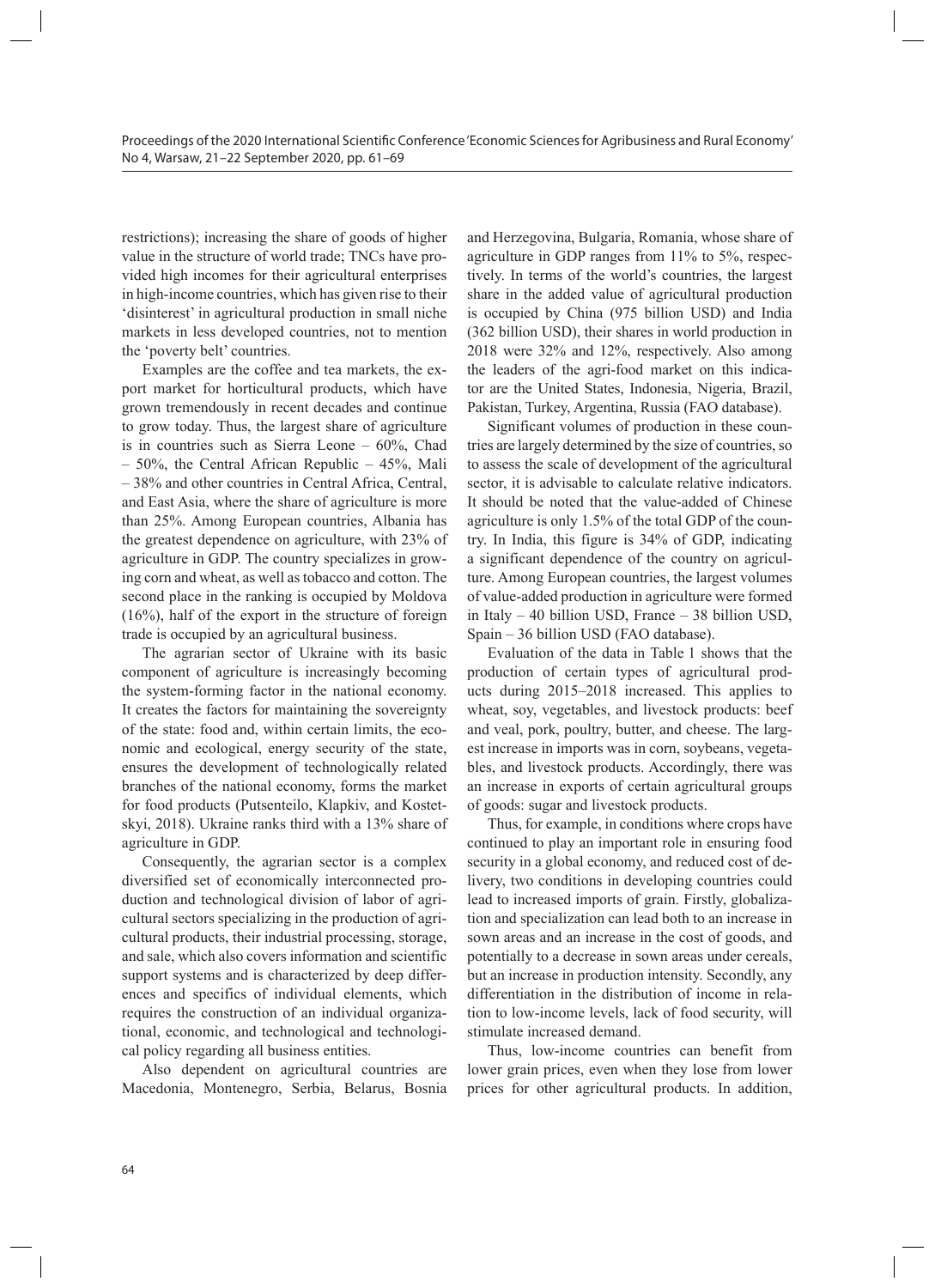restrictions); increasing the share of goods of higher value in the structure of world trade; TNCs have provided high incomes for their agricultural enterprises in high-income countries, which has given rise to their 'disinterest' in agricultural production in small niche markets in less developed countries, not to mention the 'poverty belt' countries.

Examples are the coffee and tea markets, the export market for horticultural products, which have grown tremendously in recent decades and continue to grow today. Thus, the largest share of agriculture is in countries such as Sierra Leone – 60%, Chad – 50%, the Central African Republic – 45%, Mali – 38% and other countries in Central Africa, Central, and East Asia, where the share of agriculture is more than 25%. Among European countries, Albania has the greatest dependence on agriculture, with 23% of agriculture in GDP. The country specializes in growing corn and wheat, as well as tobacco and cotton. The second place in the ranking is occupied by Moldova (16%), half of the export in the structure of foreign trade is occupied by an agricultural business.

The agrarian sector of Ukraine with its basic component of agriculture is increasingly becoming the system-forming factor in the national economy. It creates the factors for maintaining the sovereignty of the state: food and, within certain limits, the economic and ecological, energy security of the state, ensures the development of technologically related branches of the national economy, forms the market for food products (Putsenteilo, Klapkiv, and Kostetskyi, 2018). Ukraine ranks third with a 13% share of agriculture in GDP.

Consequently, the agrarian sector is a complex diversified set of economically interconnected production and technological division of labor of agricultural sectors specializing in the production of agricultural products, their industrial processing, storage, and sale, which also covers information and scientific support systems and is characterized by deep differences and specifics of individual elements, which requires the construction of an individual organizational, economic, and technological and technological policy regarding all business entities.

Also dependent on agricultural countries are Macedonia, Montenegro, Serbia, Belarus, Bosnia and Herzegovina, Bulgaria, Romania, whose share of agriculture in GDP ranges from 11% to 5%, respectively. In terms of the world's countries, the largest share in the added value of agricultural production is occupied by China (975 billion USD) and India (362 billion USD), their shares in world production in 2018 were 32% and 12%, respectively. Also among the leaders of the agri-food market on this indicator are the United States, Indonesia, Nigeria, Brazil, Pakistan, Turkey, Argentina, Russia (FAO database).

Significant volumes of production in these countries are largely determined by the size of countries, so to assess the scale of development of the agricultural sector, it is advisable to calculate relative indicators. It should be noted that the value-added of Chinese agriculture is only 1.5% of the total GDP of the country. In India, this figure is 34% of GDP, indicating a significant dependence of the country on agriculture. Among European countries, the largest volumes of value-added production in agriculture were formed in Italy – 40 billion USD, France – 38 billion USD, Spain – 36 billion USD (FAO database).

Evaluation of the data in Table 1 shows that the production of certain types of agricultural products during 2015–2018 increased. This applies to wheat, soy, vegetables, and livestock products: beef and veal, pork, poultry, butter, and cheese. The largest increase in imports was in corn, soybeans, vegetables, and livestock products. Accordingly, there was an increase in exports of certain agricultural groups of goods: sugar and livestock products.

Thus, for example, in conditions where crops have continued to play an important role in ensuring food security in a global economy, and reduced cost of delivery, two conditions in developing countries could lead to increased imports of grain. Firstly, globalization and specialization can lead both to an increase in sown areas and an increase in the cost of goods, and potentially to a decrease in sown areas under cereals, but an increase in production intensity. Secondly, any differentiation in the distribution of income in relation to low-income levels, lack of food security, will stimulate increased demand.

Thus, low-income countries can benefit from lower grain prices, even when they lose from lower prices for other agricultural products. In addition,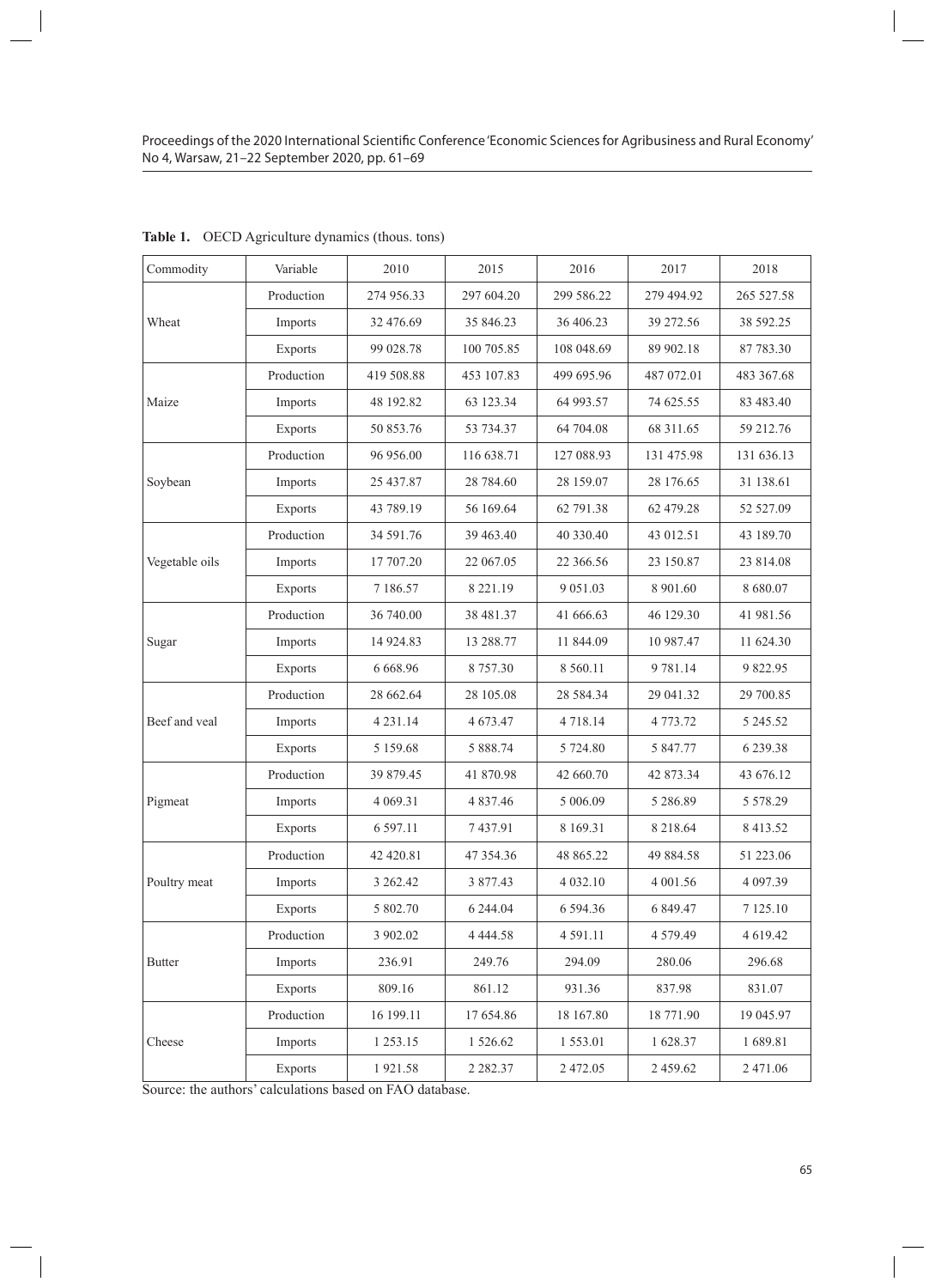| Commodity      | Variable   | 2010          | 2015          | 2016          | 2017          | 2018          |
|----------------|------------|---------------|---------------|---------------|---------------|---------------|
| Wheat          | Production | 274 956.33    | 297 604.20    | 299 586.22    | 279 494.92    | 265 527.58    |
|                | Imports    | 32 476.69     | 35 846.23     | 36 406.23     | 39 272.56     | 38 592.25     |
|                | Exports    | 99 028.78     | 100 705.85    | 108 048.69    | 89 902.18     | 87 783.30     |
| Maize          | Production | 419 508.88    | 453 107.83    | 499 695.96    | 487 072.01    | 483 367.68    |
|                | Imports    | 48 192.82     | 63 123.34     | 64 993.57     | 74 625.55     | 83 483.40     |
|                | Exports    | 50 853.76     | 53 734.37     | 64 704.08     | 68 311.65     | 59 212.76     |
| Soybean        | Production | 96 956.00     | 116 638.71    | 127 088.93    | 131 475.98    | 131 636.13    |
|                | Imports    | 25 437.87     | 28 784.60     | 28 159.07     | 28 176.65     | 31 138.61     |
|                | Exports    | 43 789.19     | 56 169.64     | 62 791.38     | 62 479.28     | 52 527.09     |
| Vegetable oils | Production | 34 591.76     | 39 463.40     | 40 330.40     | 43 012.51     | 43 189.70     |
|                | Imports    | 17 707.20     | 22 067.05     | 22 366.56     | 23 150.87     | 23 814.08     |
|                | Exports    | 7 186.57      | 8 2 2 1 . 1 9 | 9 0 5 1 .0 3  | 8 901.60      | 8 680.07      |
| Sugar          | Production | 36 740.00     | 38 481.37     | 41 666.63     | 46 129.30     | 41 981.56     |
|                | Imports    | 14 9 24.83    | 13 288.77     | 11 844.09     | 10 987.47     | 11 624.30     |
|                | Exports    | 6 6 6 8 . 9 6 | 8 7 5 7 . 3 0 | 8 5 6 0.11    | 9 781.14      | 9822.95       |
| Beef and veal  | Production | 28 662.64     | 28 105.08     | 28 5 84 .34   | 29 041.32     | 29 700.85     |
|                | Imports    | 4 2 3 1 . 1 4 | 4 673.47      | 4 7 18 14     | 4 773.72      | 5 245.52      |
|                | Exports    | 5 1 5 9 . 6 8 | 5 888.74      | 5 724.80      | 5 847.77      | 6 239.38      |
| Pigmeat        | Production | 39 879.45     | 41 870.98     | 42 660.70     | 42 873.34     | 43 676.12     |
|                | Imports    | 4 0 69.31     | 4 8 3 7 . 4 6 | 5 006.09      | 5 286.89      | 5 5 7 8 . 2 9 |
|                | Exports    | 6 5 9 7 . 11  | 7437.91       | 8 1 6 9 . 3 1 | 8 218.64      | 8 4 1 3 . 5 2 |
| Poultry meat   | Production | 42 420.81     | 47 354.36     | 48 865.22     | 49 884.58     | 51 223.06     |
|                | Imports    | 3 262.42      | 3 877.43      | 4 032.10      | 4 001.56      | 4 097.39      |
|                | Exports    | 5 802.70      | 6 244.04      | 6 5 9 4 . 3 6 | 6 849.47      | 7 125.10      |
| <b>Butter</b>  | Production | 3 902.02      | 4 4 4 4 5 8   | 4 5 9 1 . 1 1 | 4 5 7 9 . 4 9 | 4 6 19.42     |
|                | Imports    | 236.91        | 249.76        | 294.09        | 280.06        | 296.68        |
|                | Exports    | 809.16        | 861.12        | 931.36        | 837.98        | 831.07        |
| Cheese         | Production | 16 199.11     | 17 654.86     | 18 167.80     | 18 771.90     | 19 045.97     |
|                | Imports    | 1 253.15      | 1 526.62      | 1553.01       | 1628.37       | 1689.81       |
|                | Exports    | 1921.58       | 2 2 8 2 . 3 7 | 2 472.05      | 2 459.62      | 2 471.06      |

**Table 1.** OECD Agriculture dynamics (thous. tons)

Source: the authors' calculations based on FAO database.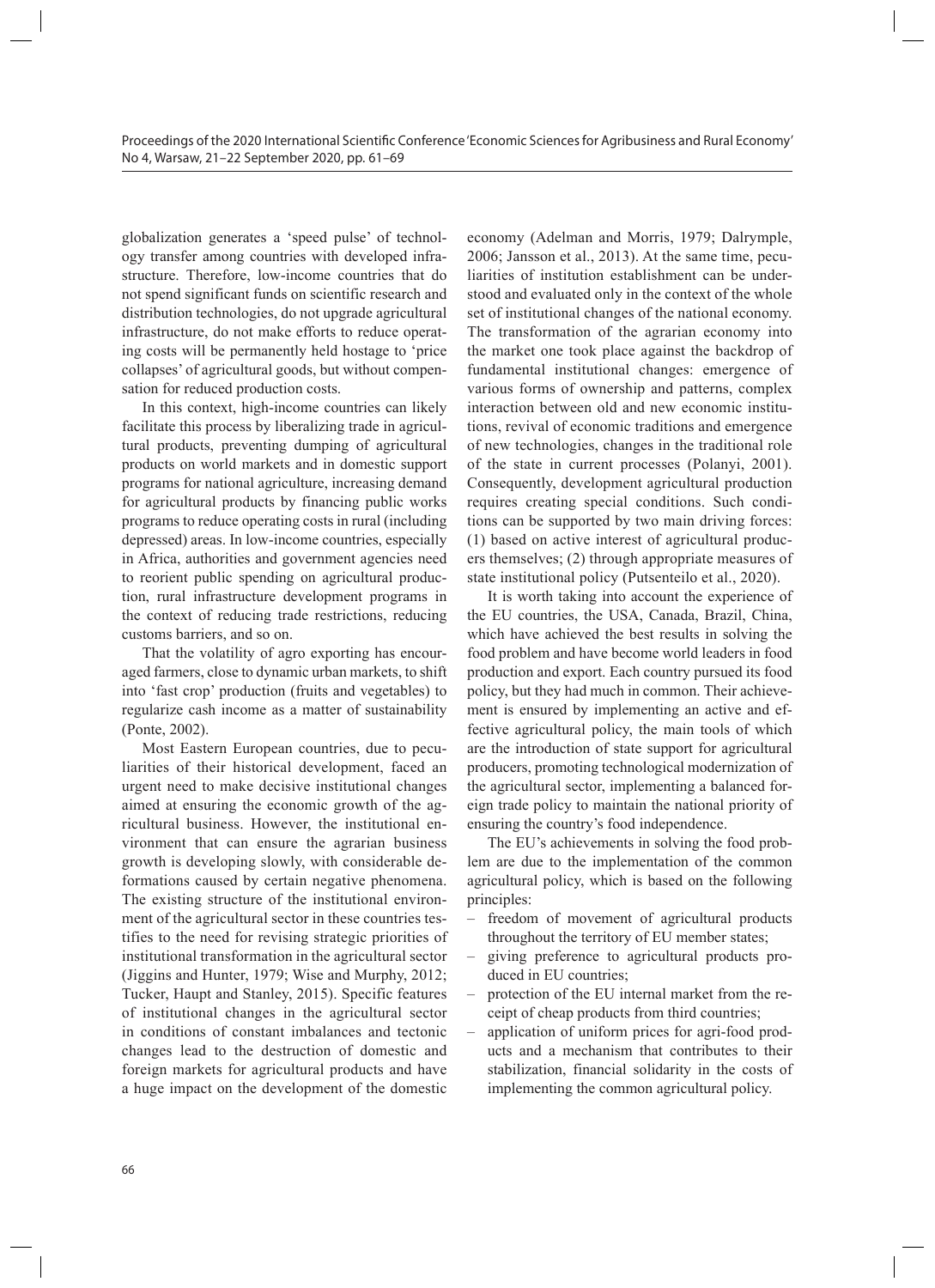globalization generates a 'speed pulse' of technology transfer among countries with developed infrastructure. Therefore, low-income countries that do not spend significant funds on scientific research and distribution technologies, do not upgrade agricultural infrastructure, do not make efforts to reduce operating costs will be permanently held hostage to 'price collapses' of agricultural goods, but without compensation for reduced production costs.

In this context, high-income countries can likely facilitate this process by liberalizing trade in agricultural products, preventing dumping of agricultural products on world markets and in domestic support programs for national agriculture, increasing demand for agricultural products by financing public works programs to reduce operating costs in rural (including depressed) areas. In low-income countries, especially in Africa, authorities and government agencies need to reorient public spending on agricultural production, rural infrastructure development programs in the context of reducing trade restrictions, reducing customs barriers, and so on.

That the volatility of agro exporting has encouraged farmers, close to dynamic urban markets, to shift into 'fast crop' production (fruits and vegetables) to regularize cash income as a matter of sustainability (Ponte, 2002).

Most Eastern European countries, due to peculiarities of their historical development, faced an urgent need to make decisive institutional changes aimed at ensuring the economic growth of the agricultural business. However, the institutional environment that can ensure the agrarian business growth is developing slowly, with considerable deformations caused by certain negative phenomena. The existing structure of the institutional environment of the agricultural sector in these countries testifies to the need for revising strategic priorities of institutional transformation in the agricultural sector (Jiggins and Hunter, 1979; Wise and Murphy, 2012; Tucker, Haupt and Stanley, 2015). Specific features of institutional changes in the agricultural sector in conditions of constant imbalances and tectonic changes lead to the destruction of domestic and foreign markets for agricultural products and have a huge impact on the development of the domestic

economy (Adelman and Morris, 1979; Dalrymple, 2006; Jansson et al., 2013). At the same time, peculiarities of institution establishment can be understood and evaluated only in the context of the whole set of institutional changes of the national economy. The transformation of the agrarian economy into the market one took place against the backdrop of fundamental institutional changes: emergence of various forms of ownership and patterns, complex interaction between old and new economic institutions, revival of economic traditions and emergence of new technologies, changes in the traditional role of the state in current processes (Polanyi, 2001). Consequently, development agricultural production requires creating special conditions. Such conditions can be supported by two main driving forces: (1) based on active interest of agricultural producers themselves; (2) through appropriate measures of state institutional policy (Putsenteilo et al., 2020).

It is worth taking into account the experience of the EU countries, the USA, Canada, Brazil, China, which have achieved the best results in solving the food problem and have become world leaders in food production and export. Each country pursued its food policy, but they had much in common. Their achievement is ensured by implementing an active and effective agricultural policy, the main tools of which are the introduction of state support for agricultural producers, promoting technological modernization of the agricultural sector, implementing a balanced foreign trade policy to maintain the national priority of ensuring the country's food independence.

The EU's achievements in solving the food problem are due to the implementation of the common agricultural policy, which is based on the following principles:

- freedom of movement of agricultural products throughout the territory of EU member states;
- giving preference to agricultural products produced in EU countries;
- protection of the EU internal market from the receipt of cheap products from third countries;
- application of uniform prices for agri-food products and a mechanism that contributes to their stabilization, financial solidarity in the costs of implementing the common agricultural policy.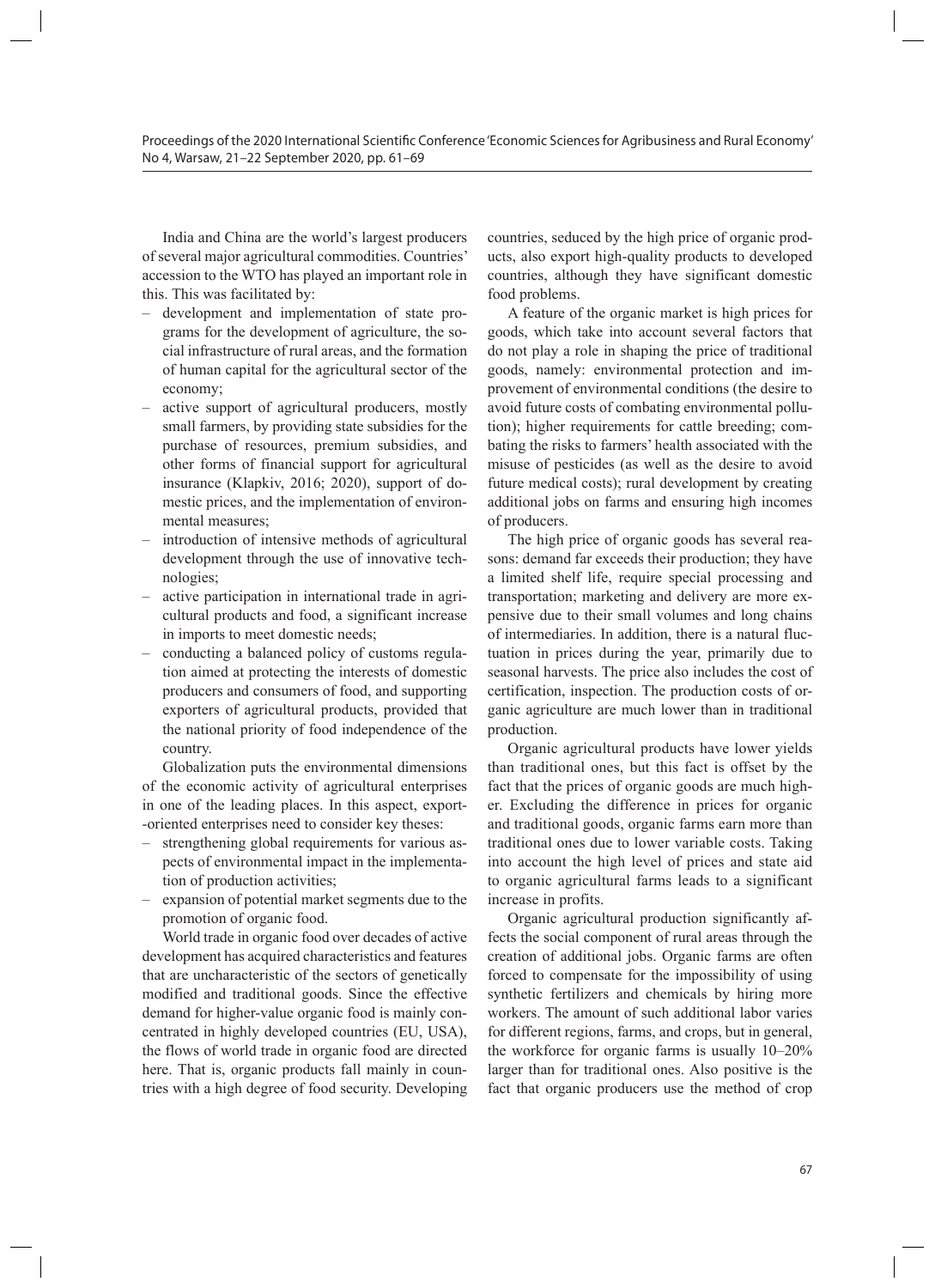India and China are the world's largest producers of several major agricultural commodities. Countries' accession to the WTO has played an important role in this. This was facilitated by:

- development and implementation of state programs for the development of agriculture, the social infrastructure of rural areas, and the formation of human capital for the agricultural sector of the economy;
- active support of agricultural producers, mostly small farmers, by providing state subsidies for the purchase of resources, premium subsidies, and other forms of financial support for agricultural insurance (Klapkiv, 2016; 2020), support of domestic prices, and the implementation of environmental measures;
- introduction of intensive methods of agricultural development through the use of innovative technologies;
- active participation in international trade in agricultural products and food, a significant increase in imports to meet domestic needs;
- conducting a balanced policy of customs regulation aimed at protecting the interests of domestic producers and consumers of food, and supporting exporters of agricultural products, provided that the national priority of food independence of the country.

Globalization puts the environmental dimensions of the economic activity of agricultural enterprises in one of the leading places. In this aspect, export- -oriented enterprises need to consider key theses:

- strengthening global requirements for various aspects of environmental impact in the implementation of production activities;
- expansion of potential market segments due to the promotion of organic food.

World trade in organic food over decades of active development has acquired characteristics and features that are uncharacteristic of the sectors of genetically modified and traditional goods. Since the effective demand for higher-value organic food is mainly concentrated in highly developed countries (EU, USA), the flows of world trade in organic food are directed here. That is, organic products fall mainly in countries with a high degree of food security. Developing

countries, seduced by the high price of organic products, also export high-quality products to developed countries, although they have significant domestic food problems.

A feature of the organic market is high prices for goods, which take into account several factors that do not play a role in shaping the price of traditional goods, namely: environmental protection and improvement of environmental conditions (the desire to avoid future costs of combating environmental pollution); higher requirements for cattle breeding; combating the risks to farmers' health associated with the misuse of pesticides (as well as the desire to avoid future medical costs); rural development by creating additional jobs on farms and ensuring high incomes of producers.

The high price of organic goods has several reasons: demand far exceeds their production; they have a limited shelf life, require special processing and transportation; marketing and delivery are more expensive due to their small volumes and long chains of intermediaries. In addition, there is a natural fluctuation in prices during the year, primarily due to seasonal harvests. The price also includes the cost of certification, inspection. The production costs of organic agriculture are much lower than in traditional production.

Organic agricultural products have lower yields than traditional ones, but this fact is offset by the fact that the prices of organic goods are much higher. Excluding the difference in prices for organic and traditional goods, organic farms earn more than traditional ones due to lower variable costs. Taking into account the high level of prices and state aid to organic agricultural farms leads to a significant increase in profits.

Organic agricultural production significantly affects the social component of rural areas through the creation of additional jobs. Organic farms are often forced to compensate for the impossibility of using synthetic fertilizers and chemicals by hiring more workers. The amount of such additional labor varies for different regions, farms, and crops, but in general, the workforce for organic farms is usually 10–20% larger than for traditional ones. Also positive is the fact that organic producers use the method of crop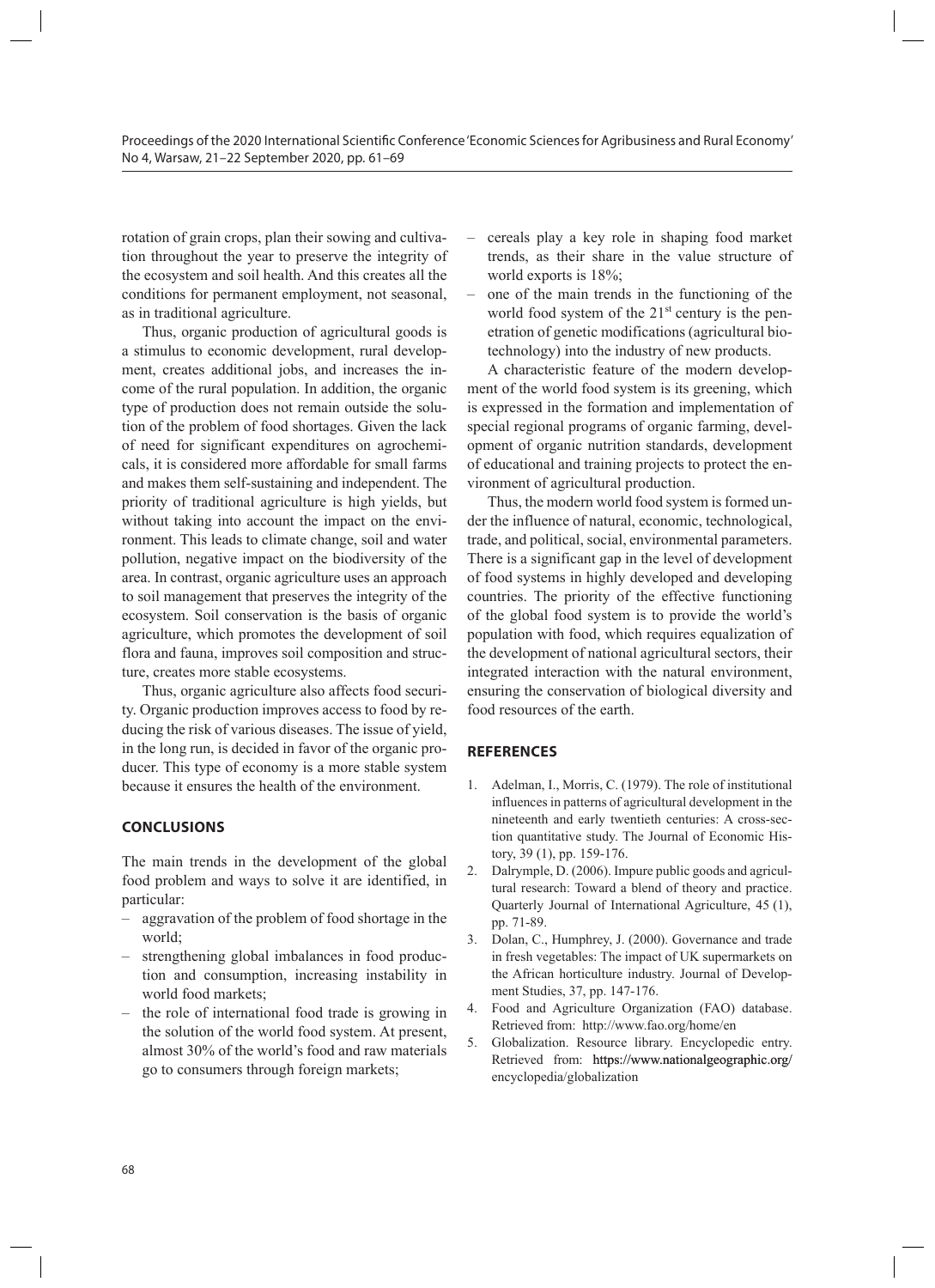rotation of grain crops, plan their sowing and cultivation throughout the year to preserve the integrity of the ecosystem and soil health. And this creates all the conditions for permanent employment, not seasonal, as in traditional agriculture.

Thus, organic production of agricultural goods is a stimulus to economic development, rural development, creates additional jobs, and increases the income of the rural population. In addition, the organic type of production does not remain outside the solution of the problem of food shortages. Given the lack of need for significant expenditures on agrochemicals, it is considered more affordable for small farms and makes them self-sustaining and independent. The priority of traditional agriculture is high yields, but without taking into account the impact on the environment. This leads to climate change, soil and water pollution, negative impact on the biodiversity of the area. In contrast, organic agriculture uses an approach to soil management that preserves the integrity of the ecosystem. Soil conservation is the basis of organic agriculture, which promotes the development of soil flora and fauna, improves soil composition and structure, creates more stable ecosystems.

Thus, organic agriculture also affects food security. Organic production improves access to food by reducing the risk of various diseases. The issue of yield, in the long run, is decided in favor of the organic producer. This type of economy is a more stable system because it ensures the health of the environment.

#### **CONCLUSIONS**

The main trends in the development of the global food problem and ways to solve it are identified, in particular:

- aggravation of the problem of food shortage in the world;
- strengthening global imbalances in food production and consumption, increasing instability in world food markets;
- the role of international food trade is growing in the solution of the world food system. At present, almost 30% of the world's food and raw materials go to consumers through foreign markets;
- cereals play a key role in shaping food market trends, as their share in the value structure of world exports is 18%;
- one of the main trends in the functioning of the world food system of the  $21<sup>st</sup>$  century is the penetration of genetic modifications (agricultural biotechnology) into the industry of new products.

A characteristic feature of the modern development of the world food system is its greening, which is expressed in the formation and implementation of special regional programs of organic farming, development of organic nutrition standards, development of educational and training projects to protect the environment of agricultural production.

Thus, the modern world food system is formed under the influence of natural, economic, technological, trade, and political, social, environmental parameters. There is a significant gap in the level of development of food systems in highly developed and developing countries. The priority of the effective functioning of the global food system is to provide the world's population with food, which requires equalization of the development of national agricultural sectors, their integrated interaction with the natural environment, ensuring the conservation of biological diversity and food resources of the earth.

#### **REFERENCES**

- 1. Adelman, I., Morris, C. (1979). The role of institutional influences in patterns of agricultural development in the nineteenth and early twentieth centuries: A cross-section quantitative study. The Journal of Economic History, 39 (1), pp. 159-176.
- 2. Dalrymple, D. (2006). Impure public goods and agricultural research: Toward a blend of theory and practice. Quarterly Journal of International Agriculture, 45 (1), pp. 71-89.
- 3. Dolan, C., Humphrey, J. (2000). Governance and trade in fresh vegetables: The impact of UK supermarkets on the African horticulture industry. Journal of Development Studies, 37, pp. 147-176.
- 4. Food and Agriculture Organization (FAO) database. Retrieved from: http://www.fao.org/home/en
- 5. Globalization. Resource library. Encyclopedic entry. Retrieved from: https://www.nationalgeographic.org/ encyclopedia/globalization